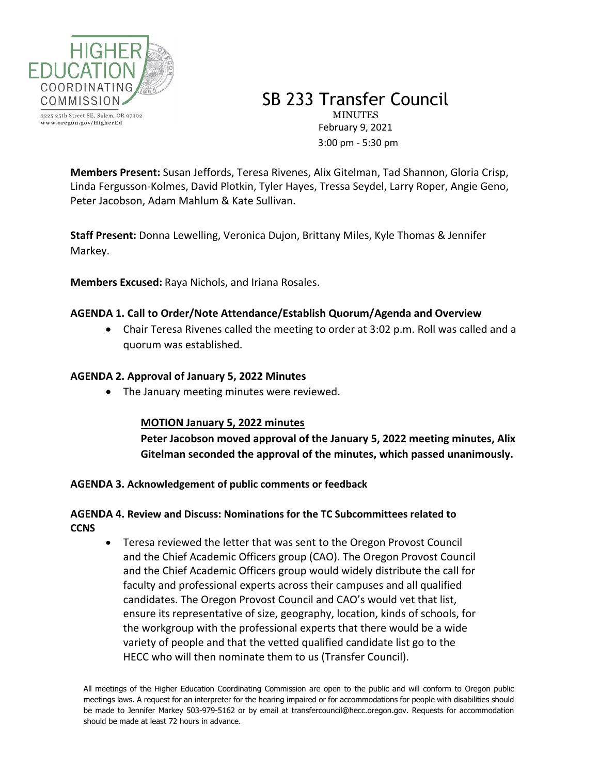

3225 25th Street SE, Salem, OR 97302 www.oregon.gov/HigherEd

SB 233 Transfer Council **MINUTES** February 9, 2021 3:00 pm - 5:30 pm

**Members Present:** Susan Jeffords, Teresa Rivenes, Alix Gitelman, Tad Shannon, Gloria Crisp, Linda Fergusson-Kolmes, David Plotkin, Tyler Hayes, Tressa Seydel, Larry Roper, Angie Geno, Peter Jacobson, Adam Mahlum & Kate Sullivan.

**Staff Present:** Donna Lewelling, Veronica Dujon, Brittany Miles, Kyle Thomas & Jennifer Markey.

**Members Excused:** Raya Nichols, and Iriana Rosales.

# **AGENDA 1. Call to Order/Note Attendance/Establish Quorum/Agenda and Overview**

• Chair Teresa Rivenes called the meeting to order at 3:02 p.m. Roll was called and a quorum was established.

# **AGENDA 2. Approval of January 5, 2022 Minutes**

• The January meeting minutes were reviewed.

# **MOTION January 5, 2022 minutes**

**Peter Jacobson moved approval of the January 5, 2022 meeting minutes, Alix Gitelman seconded the approval of the minutes, which passed unanimously.**

## **AGENDA 3. Acknowledgement of public comments or feedback**

# **AGENDA 4. Review and Discuss: Nominations for the TC Subcommittees related to CCNS**

• Teresa reviewed the letter that was sent to the Oregon Provost Council and the Chief Academic Officers group (CAO). The Oregon Provost Council and the Chief Academic Officers group would widely distribute the call for faculty and professional experts across their campuses and all qualified candidates. The Oregon Provost Council and CAO's would vet that list, ensure its representative of size, geography, location, kinds of schools, for the workgroup with the professional experts that there would be a wide variety of people and that the vetted qualified candidate list go to the HECC who will then nominate them to us (Transfer Council).

All meetings of the Higher Education Coordinating Commission are open to the public and will conform to Oregon public meetings laws. A request for an interpreter for the hearing impaired or for accommodations for people with disabilities should be made to Jennifer Markey 503-979-5162 or by email at transfercouncil@hecc.oregon.gov. Requests for accommodation should be made at least 72 hours in advance.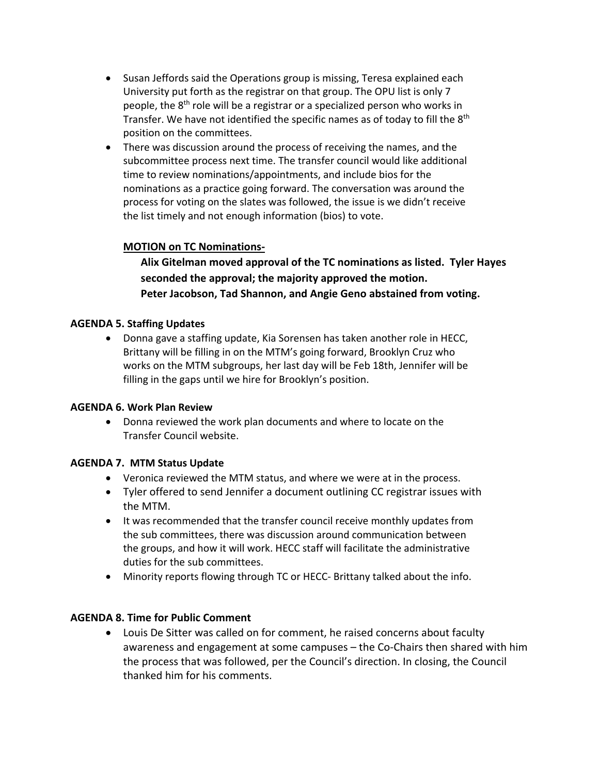- Susan Jeffords said the Operations group is missing, Teresa explained each University put forth as the registrar on that group. The OPU list is only 7 people, the 8<sup>th</sup> role will be a registrar or a specialized person who works in Transfer. We have not identified the specific names as of today to fill the 8<sup>th</sup> position on the committees.
- There was discussion around the process of receiving the names, and the subcommittee process next time. The transfer council would like additional time to review nominations/appointments, and include bios for the nominations as a practice going forward. The conversation was around the process for voting on the slates was followed, the issue is we didn't receive the list timely and not enough information (bios) to vote.

# **MOTION on TC Nominations-**

**Alix Gitelman moved approval of the TC nominations as listed. Tyler Hayes seconded the approval; the majority approved the motion. Peter Jacobson, Tad Shannon, and Angie Geno abstained from voting.** 

## **AGENDA 5. Staffing Updates**

• Donna gave a staffing update, Kia Sorensen has taken another role in HECC, Brittany will be filling in on the MTM's going forward, Brooklyn Cruz who works on the MTM subgroups, her last day will be Feb 18th, Jennifer will be filling in the gaps until we hire for Brooklyn's position.

## **AGENDA 6. Work Plan Review**

• Donna reviewed the work plan documents and where to locate on the Transfer Council website.

## **AGENDA 7. MTM Status Update**

- Veronica reviewed the MTM status, and where we were at in the process.
- Tyler offered to send Jennifer a document outlining CC registrar issues with the MTM.
- It was recommended that the transfer council receive monthly updates from the sub committees, there was discussion around communication between the groups, and how it will work. HECC staff will facilitate the administrative duties for the sub committees.
- Minority reports flowing through TC or HECC- Brittany talked about the info.

## **AGENDA 8. Time for Public Comment**

• Louis De Sitter was called on for comment, he raised concerns about faculty awareness and engagement at some campuses – the Co-Chairs then shared with him the process that was followed, per the Council's direction. In closing, the Council thanked him for his comments.